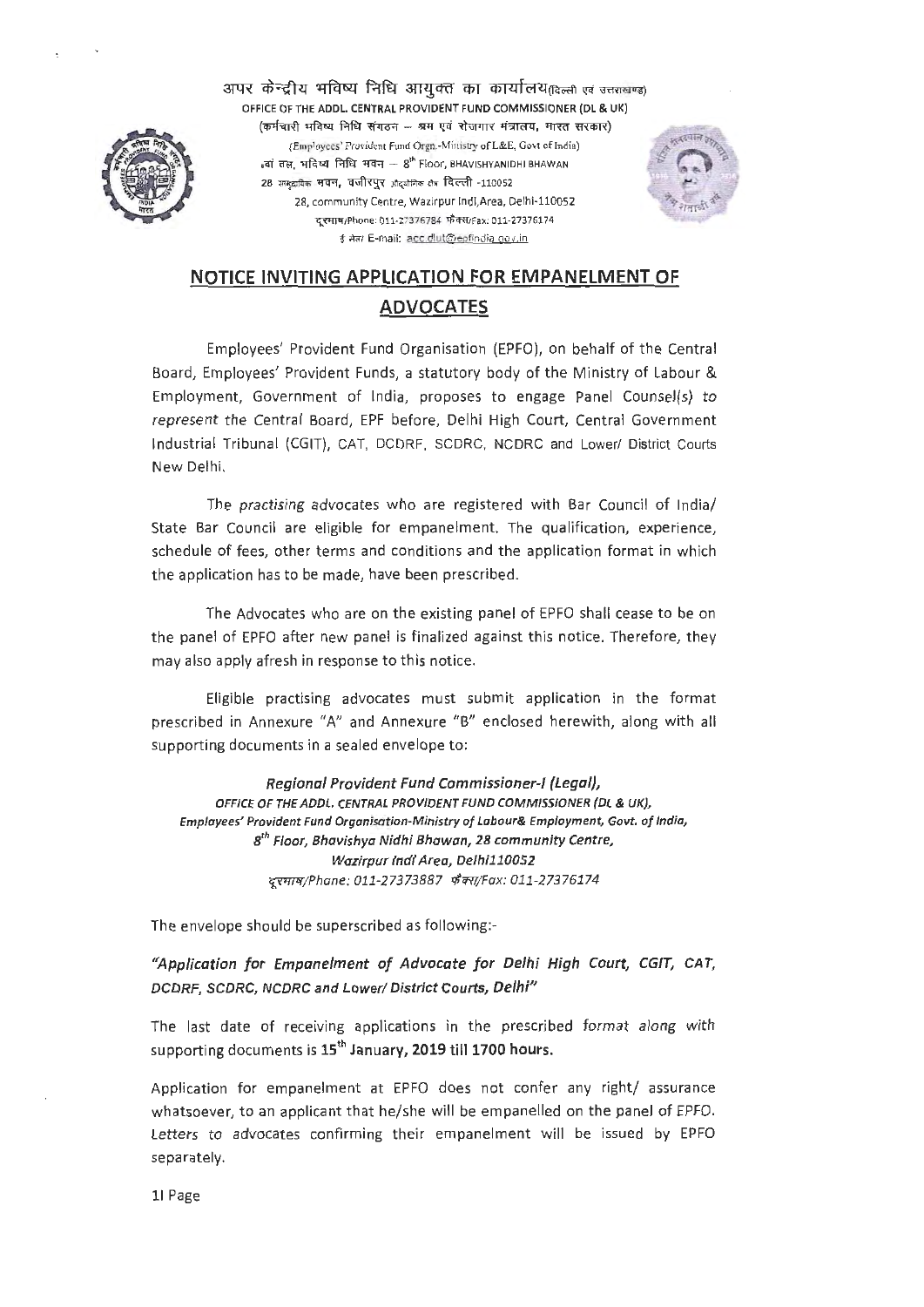

अपर केन्द्रीय भविष्य निधि आयक्त का कार्यालय@त्स्ली एवं उत्तराखण्ड) OFFICE OF THE ADDL. CENTRAL PROVIDENT FUND COMMISSIONER (DL & UK)<br>(कर्मचारी भविष्य निधि संगठन — श्रम एवं रोजगार मंत्रालय, भारत सरकार) (Employees' Provident Fund Orgn.-Ministry of L&E, Govt of India)  $_{8}$ वां तल, मंदिष्य निधि भवन – 8<sup>th</sup> Floor, BHAVISHYANIDHI BHAWAN 28 सामुदायिक भवन, वजीरपुर औद्योगिक क्षेत्र दिल्ली -110052 28, community Centre, Wazirpur lndl,Area, Delhi-110052 दरमाष/Phone: 011-27376784 फ़ैक्स/Fax: 011-27376174 ई सेल/ E-mail: acc.dlut@epfindia gov.in



# **NOTICE INVITING APPLICATION FOR FMPANELMENT OF ADVOCATES**

Employees' Provident Fund Organisation (EPFO), on behalf of the Central Board, Employees' Provident Funds, a statutory body of the Ministry of Labour & Employment, Government of India, proposes to engage Panel Counsel(s) to represent the Central Board, EPF before, Delhi High Court, Central Government Industrial Tribunal (CGIT), CAT, DCDRF, SCDRC, NCDRC and Lower/ District Courts New Delhi.

The practising advocates who are registered with Bar Council of India/ State Bar Council are eligible for empanelment. The qualification, experience, schedule of fees, other terms and conditions and the application format in which the application has to be made, have been prescribed.

The Advocates who are on the existing panel of EPFO shall cease to be on the panel of EPFO after new panel is finalized against this notice. Therefore, they may also apply afresh in response to this notice.

Eligible practising advocates must submit application in the format prescribed in Annexure "A" and Annexure "B" enclosed herewith, along with all supporting documents in a sealed envelope to:

**Regional Provident Fund Commissioner-I {Legal},**  OFFICE OF THE **ADDL. CENTRAL PROVIDENT FUND COMMISSIONER** {DL & UK}, **Employees' Provident Fund Organisation-Ministry of Labour& Employment, Govt. of India,**   $8^{th}$  Floor, Bhavishya Nidhi Bhawan, 28 community Centre, Wazirpur Ind/ Area, Delhi110052 दरमाष/Phane: 011-27373887 फ़ैक्स/Fax: 011-27376174

The envelope should be superscribed as following:-

**"App/ication for Empanelment of Advocate for Delhi High Court, CGIT, CAT, DCDRF, SCDRC, NCDRC and Lower/ District Courts, Delhi"** 

The last date of receiving applications in the prescribed format along with supporting documents is **15th January, 2019 till 1700 hours.** 

Application for empanelment at EPFO does not confer any right/ assurance whatsoever, to an applicant that he/she will be empanelled on the panel of EPFO. Letters to advocates confirming their empanelment will be issued by EPFO separately.

11 Page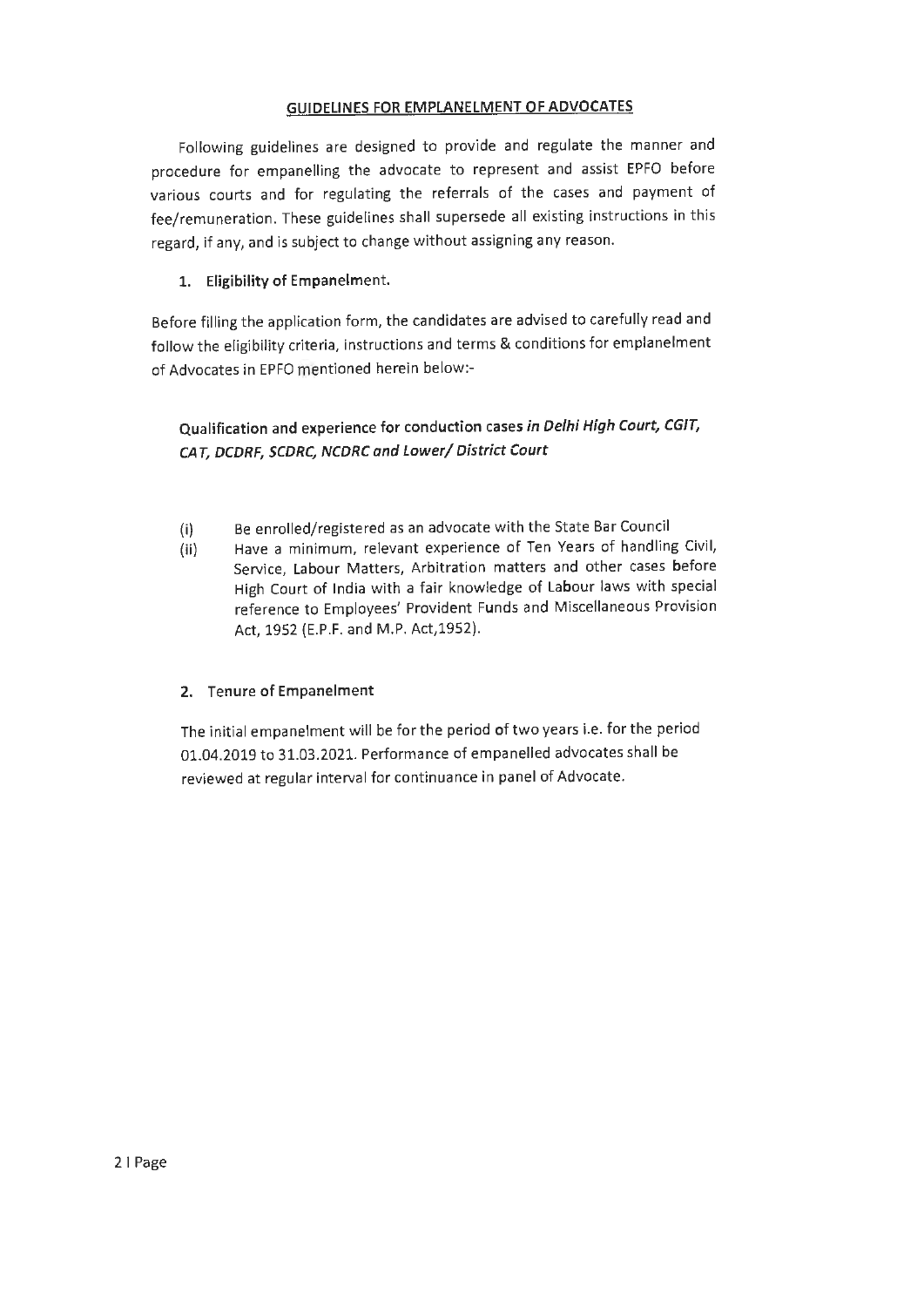## **GUIDELINES FOR EMPLANELMENT OF ADVOCATES**

Following guidelines are designed to provide and regulate the manner and procedure for empanelling the advocate to represent and assist EPFO before various courts and for regulating the referrals of the cases and payment of fee/remuneration. These guidelines shall supersede all existing instructions in this regard, if any, and is subject to change without assigning any reason.

## **1. Eligibility of Empanelment.**

Before filling the application form, the candidates are advised to carefully read and follow the eligibility criteria, instructions and terms & conditions for emplanelment of Advocates in EPFO mentioned herein below:-

## **Qualification and experience for conduction cases in Delhi High Court, CGJT, CAT, DCDRF, SCDRC, NCDRC and Lower/ District Court**

- (i) Be enrolled/registered as an advocate with the State Bar Council
- (ii) Have a minimum, relevant experience of Ten Years of handling Civil, Service, Labour Matters, Arbitration matters and other cases before High Court of India with a fair knowledge of Labour laws with special reference to Employees' Provident Funds and Miscellaneous Provision Act, 1952 (E.P.F. and M.P. Act,1952).

## **2. Tenure of Empanelment**

The initial empanelment will be for the period of two years i.e. for the period 01.04.2019 to 31.03.2021. Performance of empanelled advocates shall be reviewed at regular interval for continuance in panel of Advocate.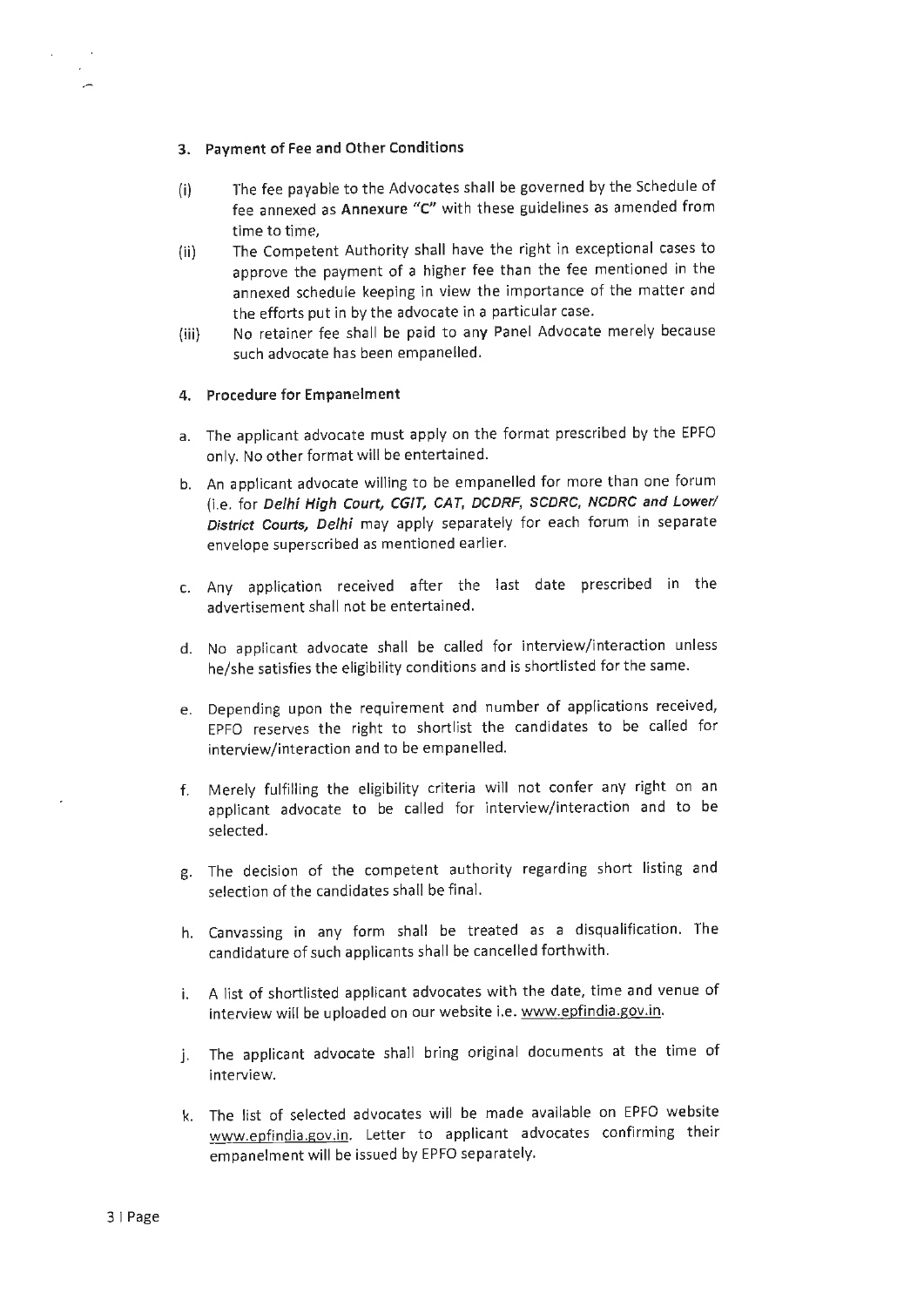#### **3. Payment of Fee and Other Conditions**

- (i) The fee payable to the Advocates shall be governed by the Schedule of fee annexed as **Annexure "C"** with these guidelines as amended from time to time,
- (ii) The Competent Authority shall have the right in exceptional cases to approve the payment of a higher fee than the fee mentioned in the annexed schedule keeping in view the importance of the matter and the efforts put in by the advocate in a particular case.
- (iii) No retainer fee shall be paid to any Panel Advocate merely because such advocate has been empanelled.

#### **4. Procedure for Empanelment**

- a. The applicant advocate must apply on the format prescribed by the EPFO only. No other format will be entertained.
- b. An applicant advocate willing to be empanelled for more than one forum (i.e. for **Delhi High Court, CGIT, CAT, DCDRF, SCDRC, NCDRC and Lower/ District Courts, Delhi** may apply separately for each forum in separate envelope superscribed as mentioned earlier.
- c. Any application received after the last date prescribed in the advertisement shall not be entertained.
- d. No applicant advocate shall be called for interview/interaction unless he/she satisfies the eligibility conditions and is shortlisted for the same.
- e. Depending upon the requirement and number of applications received, EPFO reserves the right to shortlist the candidates to be called for interview/interaction and to be empanelled.
- f. Merely fulfilling the eligibility criteria will not confer any right on an applicant advocate to be called for interview/interaction and to be selected.
- g. The decision of the competent authority regarding short listing and selection of the candidates shall be final.
- h. Canvassing in any form shall be treated as a disqualification. The candidature of such applicants shall be cancelled forthwith.
- i. A list of shortlisted applicant advocates with the date, time and venue of interview will be uploaded on our website i.e. www.epfindia.gov.in.
- j. The applicant advocate shall bring original documents at the time of interview.
- k. The list of selected advocates will be made available on EPFO website www.epfindia.gov.in. Letter to applicant advocates confirming their empanelment will be issued by EPFO separately.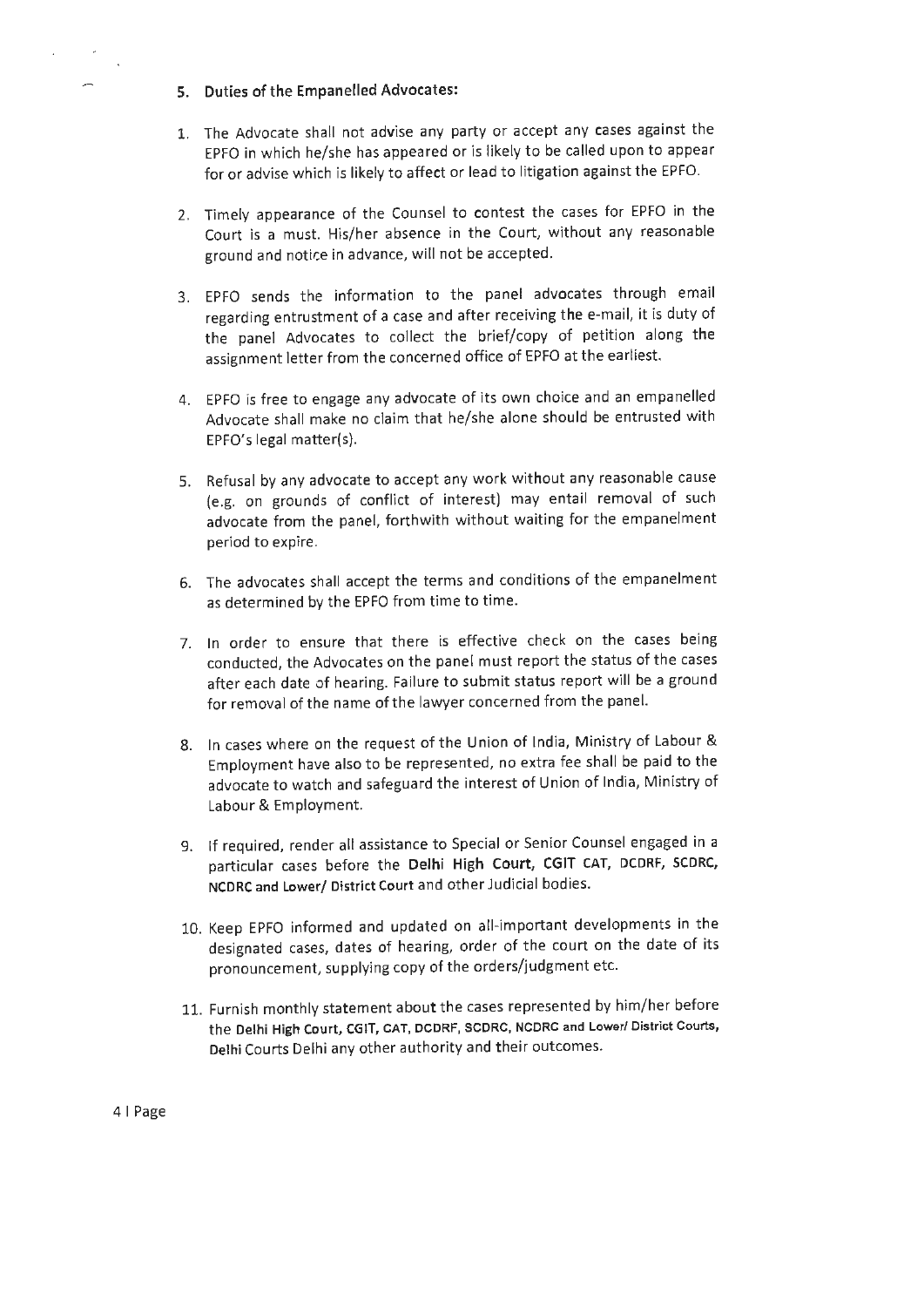#### 5. Duties of the Empanelled Advocates:

- 1. The Advocate shall not advise any party or accept any cases against the EPFO in which he/she has appeared or is likely to be called upon to appear for or advise which is likely to affect or lead to litigation against the EPFO.
- 2. Timely appearance of the Counsel to contest the cases for EPFO in the Court is a must. His/her absence in the Court, without any reasonable ground and notice in advance, will not be accepted.
- 3. EPFO sends the information to the panel advocates through email regarding entrustment of a case and after receiving the e-mail, it is duty of the panel Advocates to collect the brief/copy of petition along the assignment letter from the concerned office of EPFO at the earliest.
- 4. EPFO is free to engage any advocate of its own choice and an empanelled Advocate shall make no claim that he/she alone should be entrusted with EPFO's legal matter(s).
- 5. Refusal by any advocate to accept any work without any reasonable cause (e.g. on grounds of conflict of interest) may entail removal of such advocate from the panel, forthwith without waiting for the empanelment period to expire.
- 6. The advocates shall accept the terms and conditions of the empanelment as determined by the EPFO from time to time.
- 7. In order to ensure that there is effective check on the cases being conducted, the Advocates on the panel must report the status of the cases after each date of hearing. Failure to submit status report will be a ground for removal of the name of the lawyer concerned from the panel.
- 8. In cases where on the request of the Union of India, Ministry of Labour & Employment have also to be represented, no extra fee shall be paid to the advocate to watch and safeguard the interest of Union of India, Ministry of Labour & Employment.
- 9. If required, render all assistance to Special or Senior Counsel engaged in a particular cases before the Delhi High Court, CGIT CAT, DCDRF, SCDRC, NCDRC and Lower/ District Court and other Judicial bodies.
- 10. Keep EPFO informed and updated on all-important developments in the designated cases, dates of hearing, order of the court on the date of its pronouncement, supplying copy of the orders/judgment etc.
- 11. Furnish monthly statement about the cases represented by him/ her before the **Delhi High Court, CGIT, CAT, OCDRF, SCDRC, NCDRC and Lower/ District Courts,**  Delhi Courts Delhi any other authority and their outcomes.

4 1 Page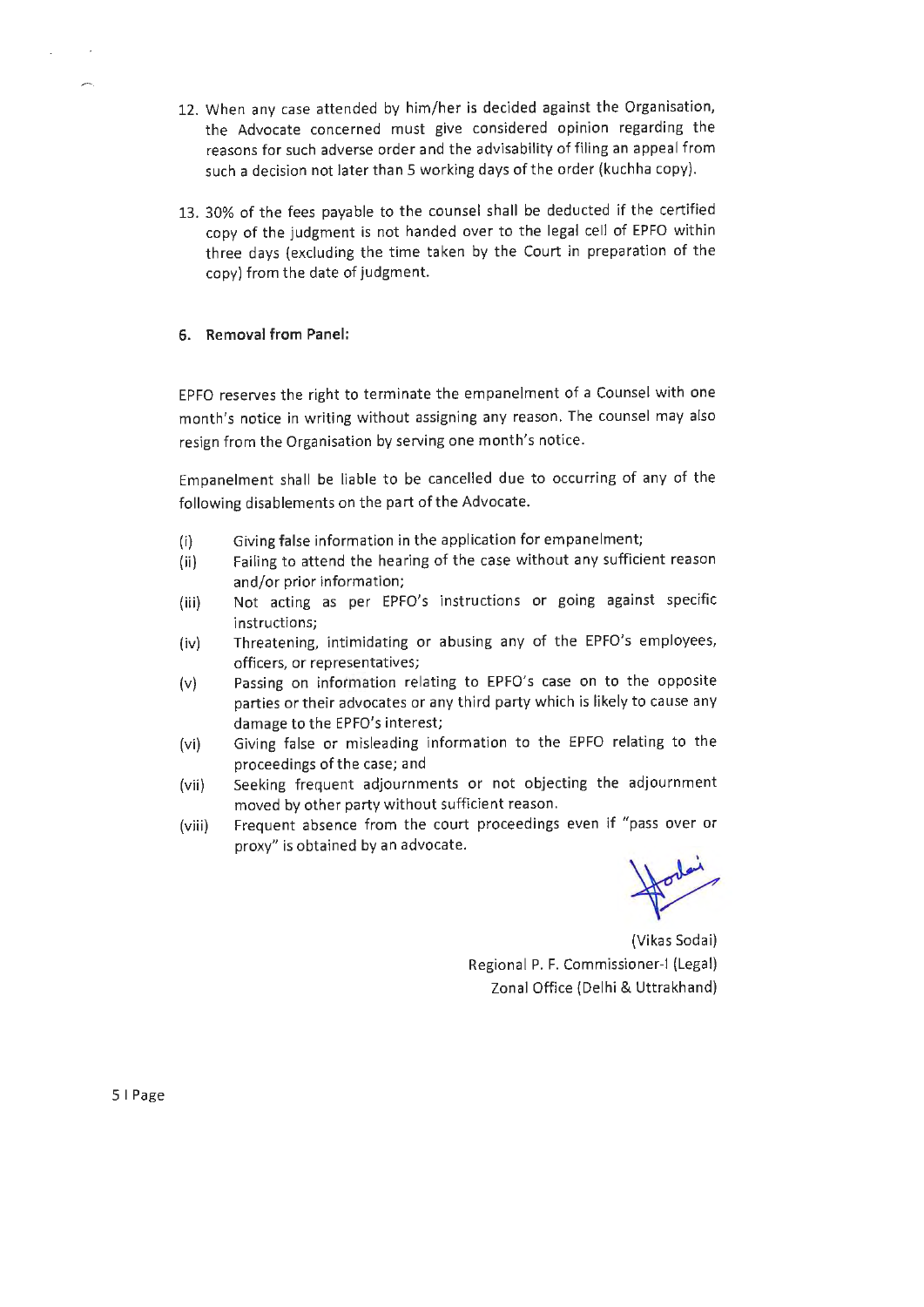- 12. When any case attended by him/her is decided against the Organisation, the Advocate concerned must give considered opinion regarding the reasons for such adverse order and the advisability of filing an appeal from such a decision not later than 5 working days of the order (kuchha copy).
- 13. 30% of the fees payable to the counsel shall be deducted if the certified copy of the judgment is not handed over to the legal cell of EPFO within three days (excluding the time taken by the Court in preparation of the copy) from the date of judgment.

## **6. Removal from Panel:**

,.-..\_

EPFO reserves the right to terminate the empanelment of a Counsel with one month's notice in writing without assigning any reason. The counsel may also resign from the Organisation by serving one month's notice.

Empanelment shall be liable to be cancelled due to occurring of any of the following disablements on the part of the Advocate.

- (i) Giving false information in the application for empanelment;
- (ii) Failing to attend the hearing of the case without any sufficient reason and/or prior information;
- (iii) Not acting as per EPFO's instructions or going against specific instructions;
- (iv) Threatening, intimidating or abusing any of the EPFO's employees, officers, or representatives;
- (v) Passing on information relating to EPFO's case on to the opposite parties or their advocates or any third party which is likely to cause any damage to the EPFO's interest;
- (vi) Giving false or misleading information to the EPFO relating to the proceedings of the case; and
- (vii) Seeking frequent adjournments or not objecting the adjournment moved by other party without sufficient reason.
- (viii) Frequent absence from the court proceedings even if "pass over or proxy" is obtained by an advocate.

(Vikas Sodai) Regional P. F. Commissioner-I (Legal) Zonal Office (Delhi & Uttrakhand)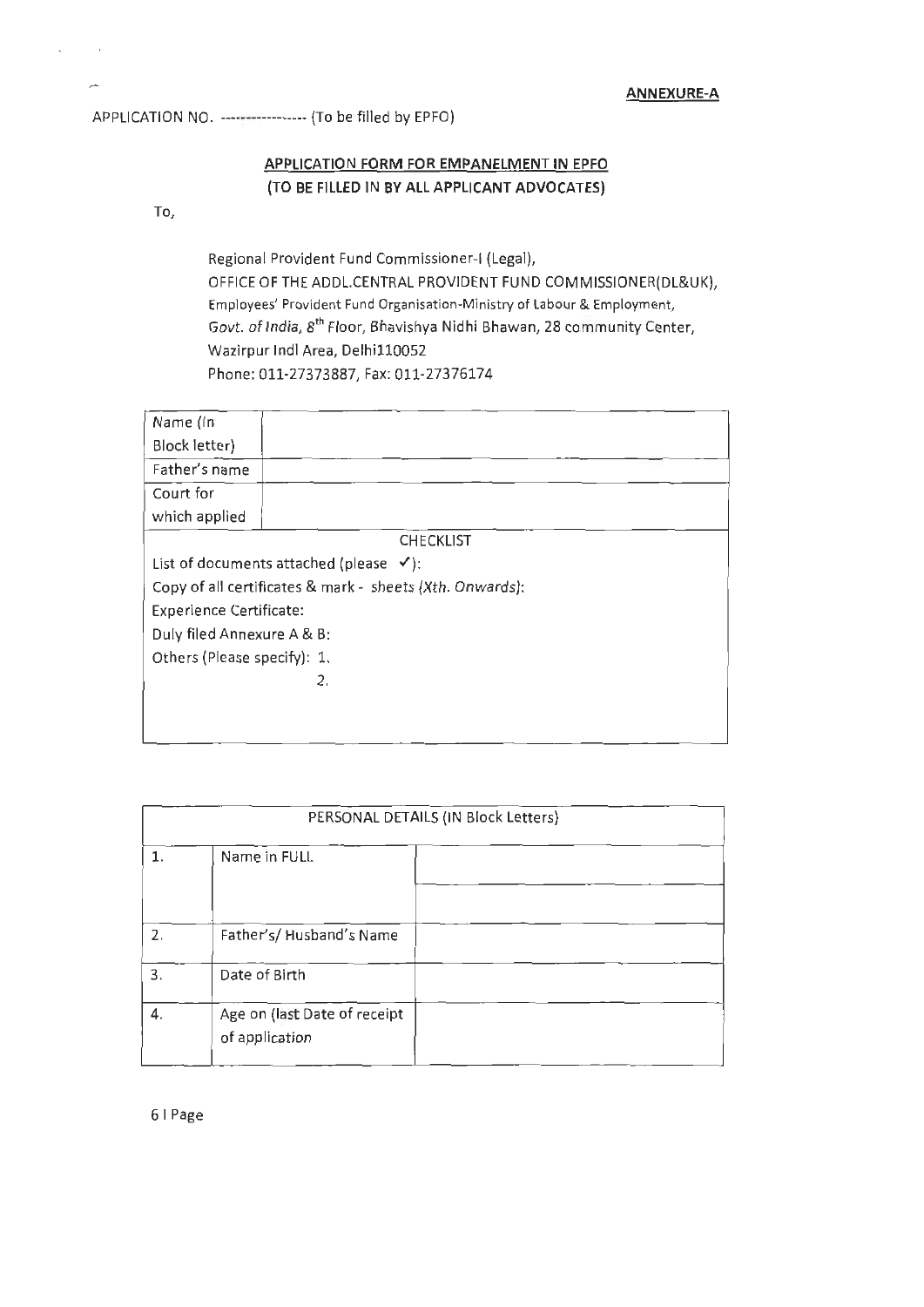APPLICATION NO. ----------------- (To be filled by EPFO)

## **APPLICATION FORM FOR EMPANELMENT IN EPFO (TO BE FILLED IN BY ALL APPLICANT ADVOCATES)**

To,

Regional Provident Fund Commissioner-I (Legal), OFFICE OF THE ADDL.CENTRAL PROVIDENT FUND COMMISSIONER(DL&UK), Employees' Provident Fund Organisation-Ministry of Labour & Employment, Govt. of India, 8<sup>th</sup> Floor, Bhavishya Nidhi Bhawan, 28 community Center, Wazirpur lndl Area, Delhi110052 Phone: 011-27373887, Fax:011-27376174

| Name (In                       |                                                          |  |
|--------------------------------|----------------------------------------------------------|--|
| Block letter)                  |                                                          |  |
| Father's name                  |                                                          |  |
| Court for                      |                                                          |  |
| which applied                  |                                                          |  |
|                                | <b>CHECKLIST</b>                                         |  |
|                                | List of documents attached (please $\checkmark$ ):       |  |
|                                | Copy of all certificates & mark - sheets (Xth. Onwards): |  |
| <b>Experience Certificate:</b> |                                                          |  |
| Duly filed Annexure A & B:     |                                                          |  |
| Others (Please specify): 1.    |                                                          |  |
|                                | 2.                                                       |  |
|                                |                                                          |  |
|                                |                                                          |  |

|    |                                                | PERSONAL DETAILS (IN Block Letters) |
|----|------------------------------------------------|-------------------------------------|
| 1. | Name in FULL                                   |                                     |
|    |                                                |                                     |
| 2. | Father's/Husband's Name                        |                                     |
| 3. | Date of Birth                                  |                                     |
| 4. | Age on (last Date of receipt<br>of application |                                     |

6 I Page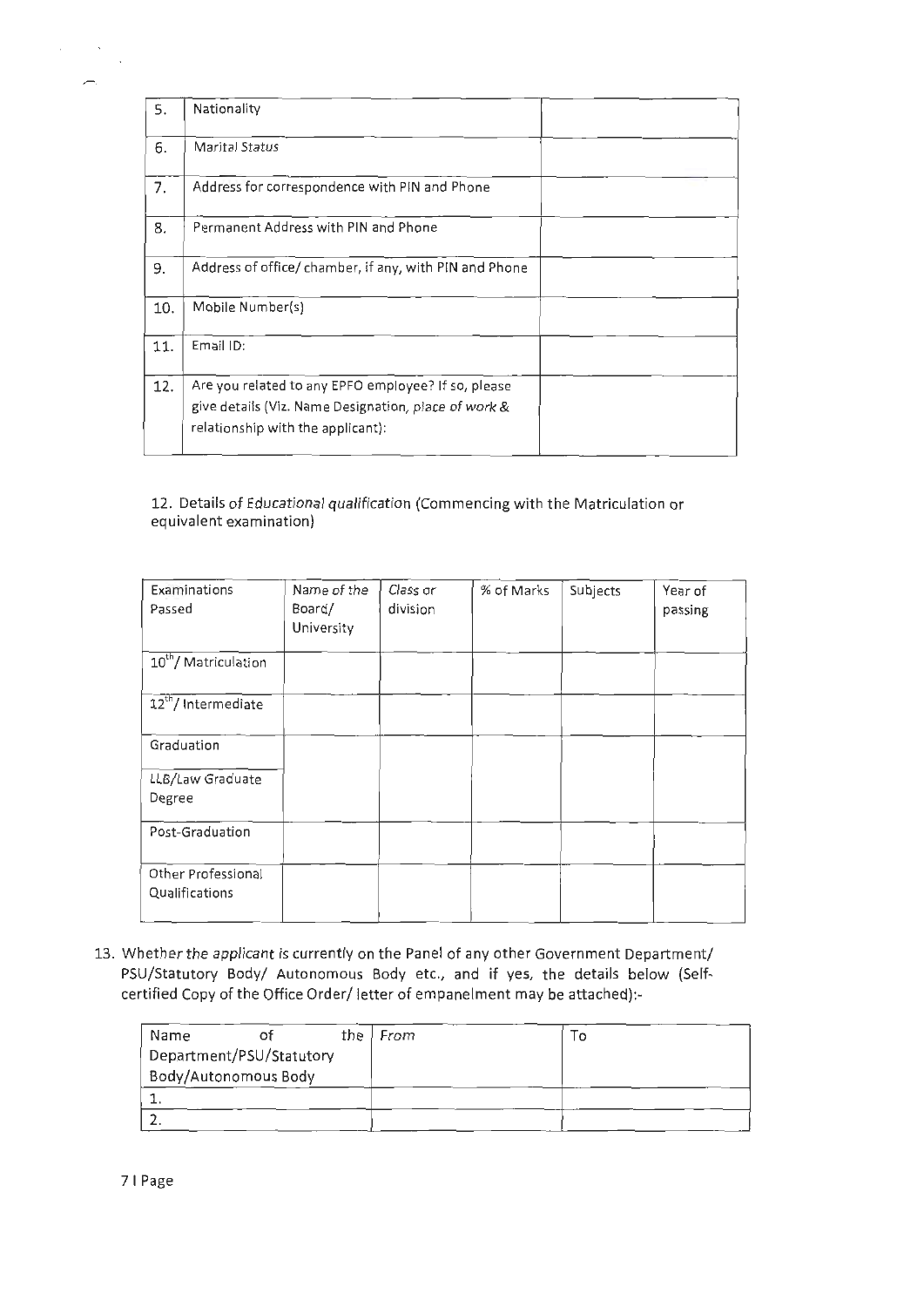| 5.  | Nationality                                                                                                                                      |  |  |
|-----|--------------------------------------------------------------------------------------------------------------------------------------------------|--|--|
| 6.  | <b>Marital Status</b>                                                                                                                            |  |  |
| 7.  | Address for correspondence with PIN and Phone                                                                                                    |  |  |
| 8.  | Permanent Address with PIN and Phone                                                                                                             |  |  |
| 9.  | Address of office/chamber, if any, with PIN and Phone                                                                                            |  |  |
| 10. | Mobile Number(s)                                                                                                                                 |  |  |
| 11. | Email ID:                                                                                                                                        |  |  |
| 12. | Are you related to any EPFO employee? If so, please<br>give details (Viz. Name Designation, place of work &<br>relationship with the applicant): |  |  |

12. Details of Educational qualification (Commencing with the Matriculation or equivalent examination)

| Examinations<br>Passed               | Name of the<br>Board/<br>University | Class or<br>division | % of Marks | Subjects | Year of<br>passing |
|--------------------------------------|-------------------------------------|----------------------|------------|----------|--------------------|
| 10 <sup>th</sup> /Matriculation      |                                     |                      |            |          |                    |
| 12 <sup>th</sup> / Intermediate      |                                     |                      |            |          |                    |
| Graduation                           |                                     |                      |            |          |                    |
| LLB/Law Graduate<br>Degree           |                                     |                      |            |          |                    |
| Post-Graduation                      |                                     |                      |            |          |                    |
| Other Professional<br>Qualifications |                                     |                      |            |          |                    |

13. Whether the applicant is currently on the Panel of any other Government Department/ PSU/Statutory Body/ Autonomous Body etc., and if yes, the details below (Selfcertified Copy of the Office Order/ letter of empanelment may be attached):-

| Name                     |  | the $ $ From | $\circ$ |
|--------------------------|--|--------------|---------|
| Department/PSU/Statutory |  |              |         |
| Body/Autonomous Body     |  |              |         |
|                          |  |              |         |
|                          |  |              |         |

7 I Page

 $\label{eq:2} \begin{split} \mathcal{L}_{\text{eff}} & = \frac{1}{2} \sum_{i=1}^{2} \mathcal{L}_{\text{eff}} \mathcal{L}_{\text{eff}} \end{split}$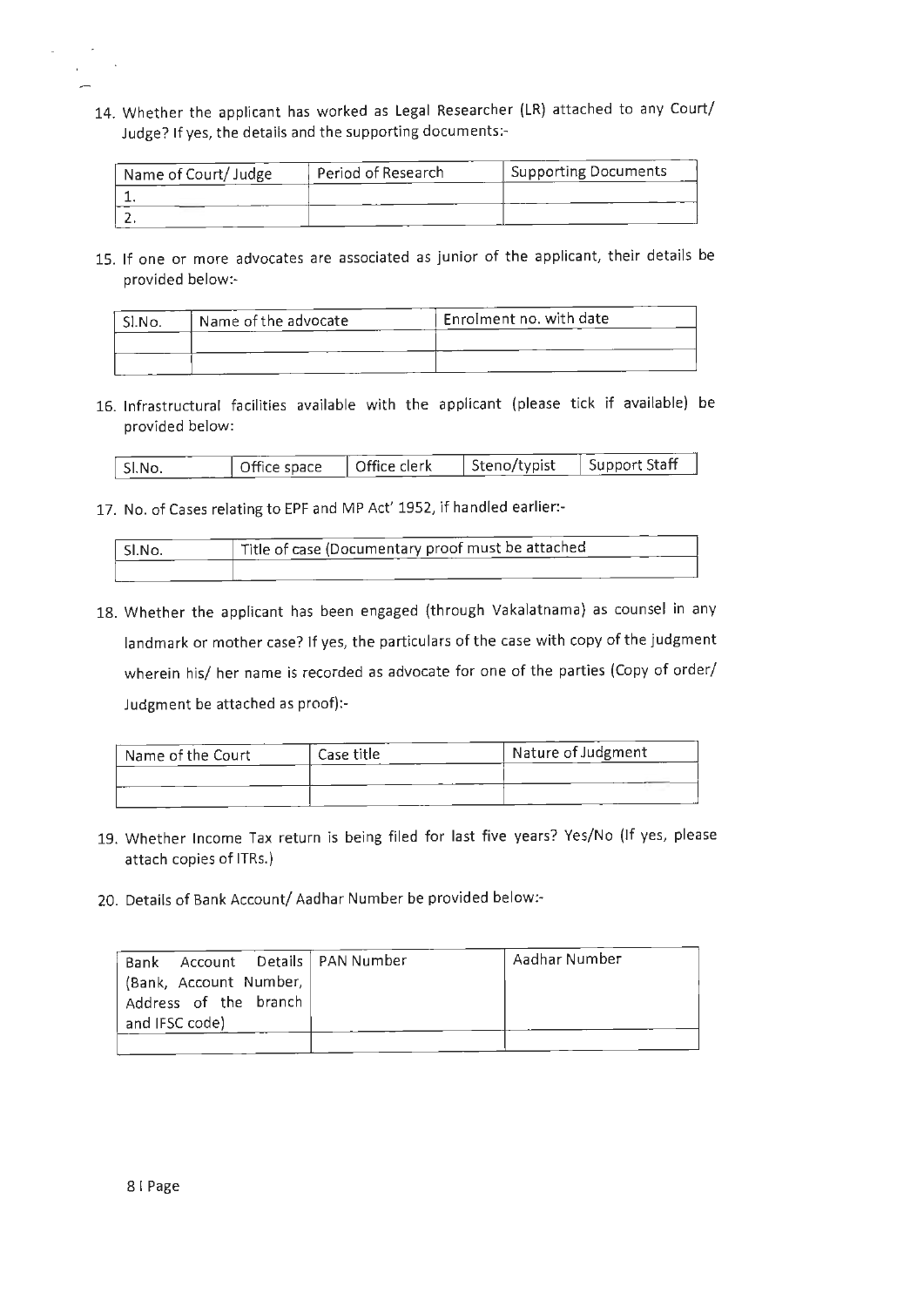14. Whether the applicant has worked as Legal Researcher (LR) attached to any Court/ Judge? If yes, the details and the supporting documents:-

| Name of Court/ Judge | Period of Research | <b>Supporting Documents</b> |
|----------------------|--------------------|-----------------------------|
|                      |                    |                             |
|                      |                    |                             |

15. If one or more advocates are associated as junior of the applicant, their details be provided below:-

| -SI.No. | Name of the advocate | Enrolment no. with date |
|---------|----------------------|-------------------------|
|         |                      |                         |
|         |                      |                         |

16. Infrastructural facilities available with the applicant (please tick if available) be provided below:

| Sl.No. | Office space | Steno/typist<br>  Office clerk | <b>Support Staff</b> |  |
|--------|--------------|--------------------------------|----------------------|--|

17. No. of Cases relating to EPF and MP Act' 1952, if handled earlier:-

| ' Sl.No. | Title of case (Documentary proof must be attached |
|----------|---------------------------------------------------|
|          |                                                   |

18. Whether the applicant has been engaged (through Vakalatnama) as counsel in any landmark or mother case? If yes, the particulars of the case with copy of the judgment wherein his/ her name is recorded as advocate for one of the parties (Copy of order/ Judgment be attached as proof):-

| Name of the Court | Case title | Nature of Judgment |
|-------------------|------------|--------------------|
|                   |            |                    |
|                   |            |                    |

- 19. Whether Income Tax return is being filed for last five years? Yes/No (If yes, please attach copies of ITRs.)
- 20. Details of Bank Account/ Aadhar Number be provided below:-

| Bank Account Details   PAN Number | Aadhar Number |
|-----------------------------------|---------------|
| (Bank, Account Number,            |               |
| Address of the branch             |               |
| and IFSC code)                    |               |
|                                   |               |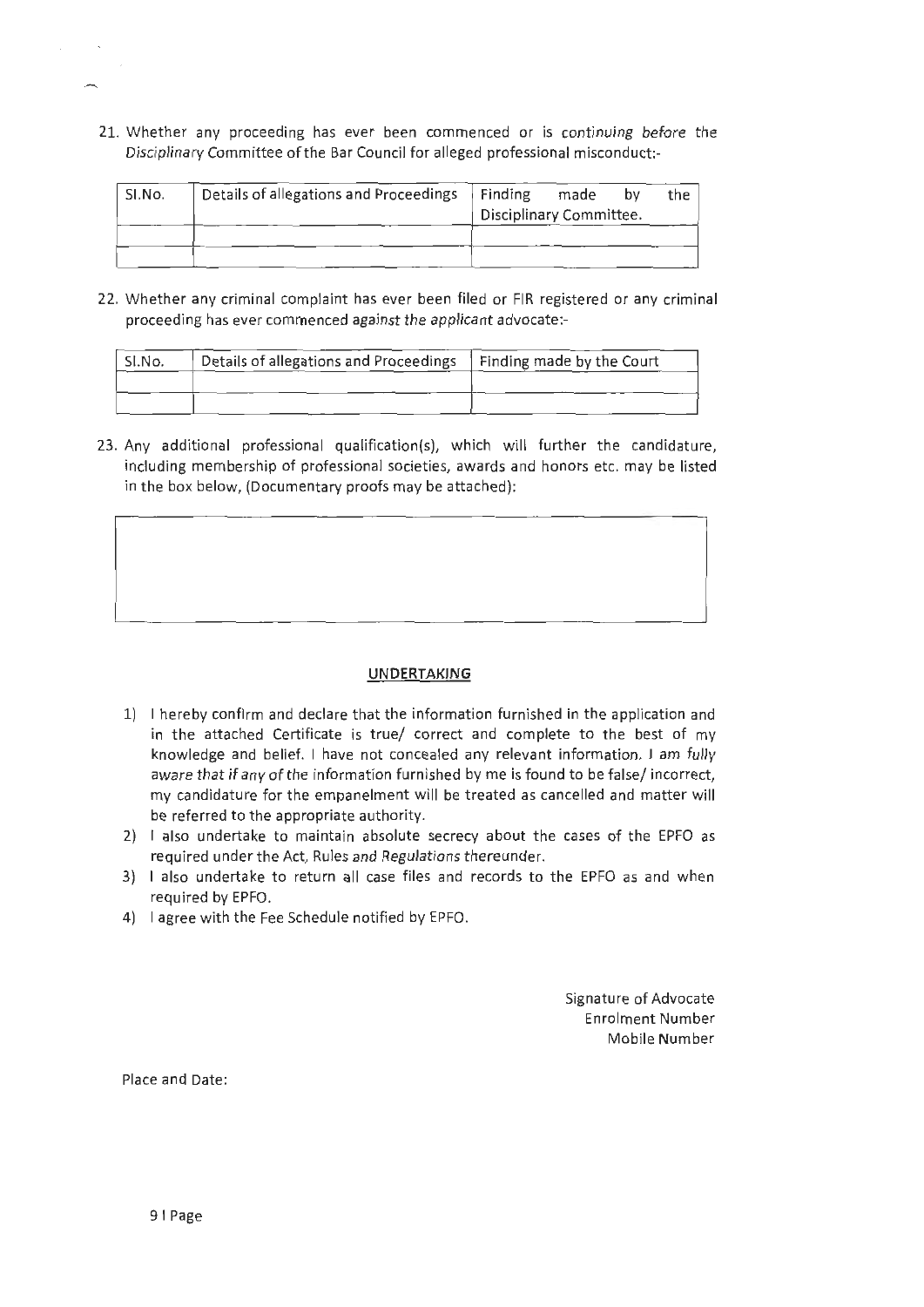21. Whether any proceeding has ever been commenced or is continuing before the Disciplinary Committee of the Bar Council for alleged professional misconduct:-

| ' SI.No. | Details of allegations and Proceedings   Finding | Disciplinary Committee. | made | bv | the i |
|----------|--------------------------------------------------|-------------------------|------|----|-------|
|          |                                                  |                         |      |    |       |

22. Whether any criminal complaint has ever been filed or FIR registered or any criminal proceeding has ever commenced against the applicant advocate:-

| <sup>i</sup> SI.No. | Details of allegations and Proceedings | Finding made by the Court |
|---------------------|----------------------------------------|---------------------------|
|                     |                                        |                           |
|                     |                                        |                           |

23. Any additional professional qualification(s), which will further the candidature, including membership of professional societies, awards and honors etc. may be listed in the box below, (Documentary proofs may be attached):



## **UNDERTAKING**

- 1) I hereby confirm and declare that the information furnished in the application and in the attached Certificate is true/ correct and complete to the best of my knowledge and belief. I have not concealed any relevant information. I am fully aware that if any of the information furnished by me is found to be false/ incorrect, my candidature for the empanelment will be treated as cancelled and matter will be referred to the appropriate authority.
- 2) I also undertake to maintain absolute secrecy about the cases of the EPFO as required under the Act, Rules and Regulations thereunder.
- 3) I also undertake to return all case files and records to the EPFO as and when required by EPFO.
- 4) I agree with the Fee Schedule notified by EPFO.

Signature of Advocate Enrolment Number Mobile Number

Place and Date: